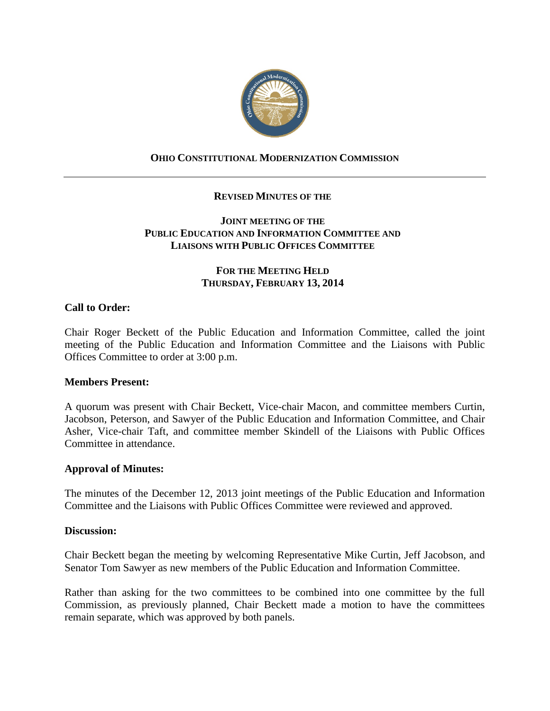

# **OHIO CONSTITUTIONAL MODERNIZATION COMMISSION**

# **REVISED MINUTES OF THE**

# **JOINT MEETING OF THE PUBLIC EDUCATION AND INFORMATION COMMITTEE AND LIAISONS WITH PUBLIC OFFICES COMMITTEE**

# **FOR THE MEETING HELD THURSDAY, FEBRUARY 13, 2014**

# **Call to Order:**

Chair Roger Beckett of the Public Education and Information Committee, called the joint meeting of the Public Education and Information Committee and the Liaisons with Public Offices Committee to order at 3:00 p.m.

#### **Members Present:**

A quorum was present with Chair Beckett, Vice-chair Macon, and committee members Curtin, Jacobson, Peterson, and Sawyer of the Public Education and Information Committee, and Chair Asher, Vice-chair Taft, and committee member Skindell of the Liaisons with Public Offices Committee in attendance.

#### **Approval of Minutes:**

The minutes of the December 12, 2013 joint meetings of the Public Education and Information Committee and the Liaisons with Public Offices Committee were reviewed and approved.

#### **Discussion:**

Chair Beckett began the meeting by welcoming Representative Mike Curtin, Jeff Jacobson, and Senator Tom Sawyer as new members of the Public Education and Information Committee.

Rather than asking for the two committees to be combined into one committee by the full Commission, as previously planned, Chair Beckett made a motion to have the committees remain separate, which was approved by both panels.